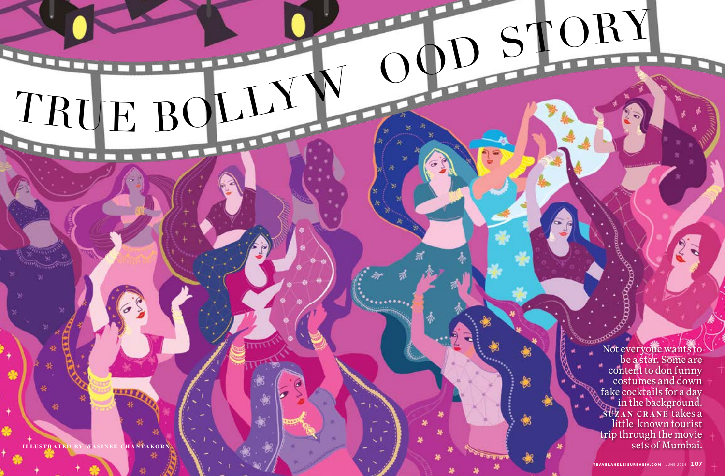Not everyone wants to be a star. Some are content to don funny costumes and down fake cocktails for a day in the background. suzan CRANE takes a little-known tourist trip through the movie sets of Mumbai.

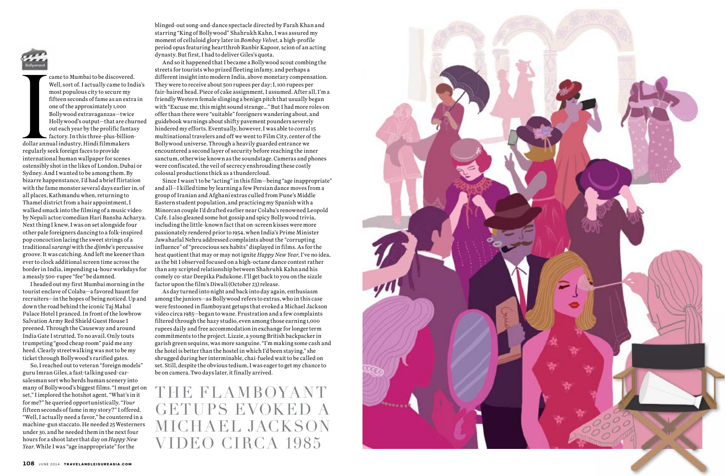

came to Mumbai to be discovered. Well, sort of. I actually came to India's most populous city to secure my fifteen seconds of fame as an extra in one of the approximately 1,000 Bollywood extravaganzas—twice Hollywood's output—that are churned out each year by the prolific fantasy factory. In this three-plus-billion-

dollar ann<br>regularly s<br>internatio dollar annual industry, Hindi filmmakers regularly seek foreign faces to provide international human wallpaper for scenes ostensibly shot in the likes of London, Dubai or Sydney. And I wanted to be among them. By bizarre happenstance, I'd had a brief flirtation with the fame monster several days earlier in, of all places, Kathmandu when, returning to Thamel district from a hair appointment, I walked smack into the filming of a music video by Nepali actor/comedian Hari Bansha Acharya. Next thing I knew, I was on set alongside four other pale foreigners dancing to a folk-inspired pop concoction lacing the sweet strings of a traditional *sarangi* with the *djimbe*'s percussive groove. It was catching. And left me keener than ever to clock additional screen time across the border in India, impending 14-hour workdays for a measly 500-rupee "fee" be damned.

I headed out my first Mumbai morning in the tourist enclave of Colaba—a favored haunt for recruiters—in the hopes of being noticed. Up and down the road behind the iconic Taj Mahal Palace Hotel I pranced. In front of the lowbrow Salvation Army Red Shield Guest House I preened. Through the Causeway and around India Gate I strutted. To no avail. Only touts trumpeting "good cheap room" paid me any heed. Clearly streetwalking was not to be my ticket through Bollywood's rarified gates.

So, I reached out to veteran "foreign models" guru Imran Giles, a fast-talking used-carsalesman sort who herds human scenery into many of Bollywood's biggest films. "I must get on set," I implored the hotshot agent. "What's in it for me?" he queried opportunistically. "*Your* fifteen seconds of fame in my story?" I offered. "Well, I actually need a favor," he countered in a machine-gun staccato. He needed 25 Westerners under 30, and he needed them in the next four hours for a shoot later that day on *Happy New Year*. While I was "age inappropriate" for the

blinged-out song-and-dance spectacle directed by [Farah Khan](http://en.wikipedia.org/wiki/Farah_Khan) and starring "King of Bollywood" Shahrukh Kahn, I was assured my moment of celluloid glory later in *Bombay Velvet*, a high-profile period opus featuring heartthrob Ranbir Kapoor, scion of an acting dynasty. But first, I had to deliver Giles's quota.

And so it happened that I became a Bollywood scout combing the streets for tourists who prized fleeting infamy, and perhaps a different insight into modern India, above monetary compensation. They were to receive about 500 rupees per day; I, 100 rupees per fair-haired head. Piece of cake assignment, I assumed. After all, I'm a friendly Western female slinging a benign pitch that usually began with "Excuse me, this might sound strange…" But I had more roles on offer than there were "suitable" foreigners wandering about, and guidebook warnings about shifty pavement pounders severely hindered my efforts. Eventually, however, I was able to corral 15 multinational travelers and off we went to Film City, center of the Bollywood universe. Through a heavily guarded entrance we encountered a second layer of security before reaching the inner sanctum, otherwise known as the soundstage. Cameras and phones were confiscated, the veil of secrecy enshrouding these costly colossal productions thick as a thundercloud.

Since I wasn't to be "acting" in this film—being "age inappropriate" and all—I killed time by learning a few Persian dance moves from a group of Iranian and Afghani extras culled from Pune's Middle Eastern student population, and practicing my Spanish with a Minorcan couple I'd drafted earlier near Colaba's renowned Leopold Café. I also gleaned some hot gossip and spicy Bollywood trivia, including the little-known fact that on-screen kisses were more passionately rendered prior to 1954, when India's Prime Minister Jawaharlal Nehru addressed complaints about the "corrupting influence" of "precocious sex habits" displayed in films. As for the heat quotient that may or may not ignite *Happy New Year*, I've no idea, as the bit I observed focused on a high-octane dance contest rather than any scripted relationship between Shahruhk Kahn and his comely co-star Deepika Padukone. I'll get back to you on the sizzle factor upon the film's Diwali (October 23) release.

As day turned into night and back into day again, enthusiasm among the juniors—as Bollywood refers to extras, who in this case were festooned in flamboyant getups that evoked a Michael Jackson video circa 1985—began to wane. Frustration and a few complaints filtered through the hazy studio, even among those earning 1,000 rupees daily and free accommodation in exchange for longer term commitments to the project. Lizzie, a young British backpacker in garish green sequins, was more sanguine. "I'm making some cash and the hotel is better than the hostel in which I'd been staying," she shrugged during her interminable, chai-fueled wait to be called on set. Still, despite the obvious tedium, I was eager to get my chance to be on camera. Two days later, it finally arrived.

the flamboyant GETUPS EVOKED A michael jackson video circa 1985